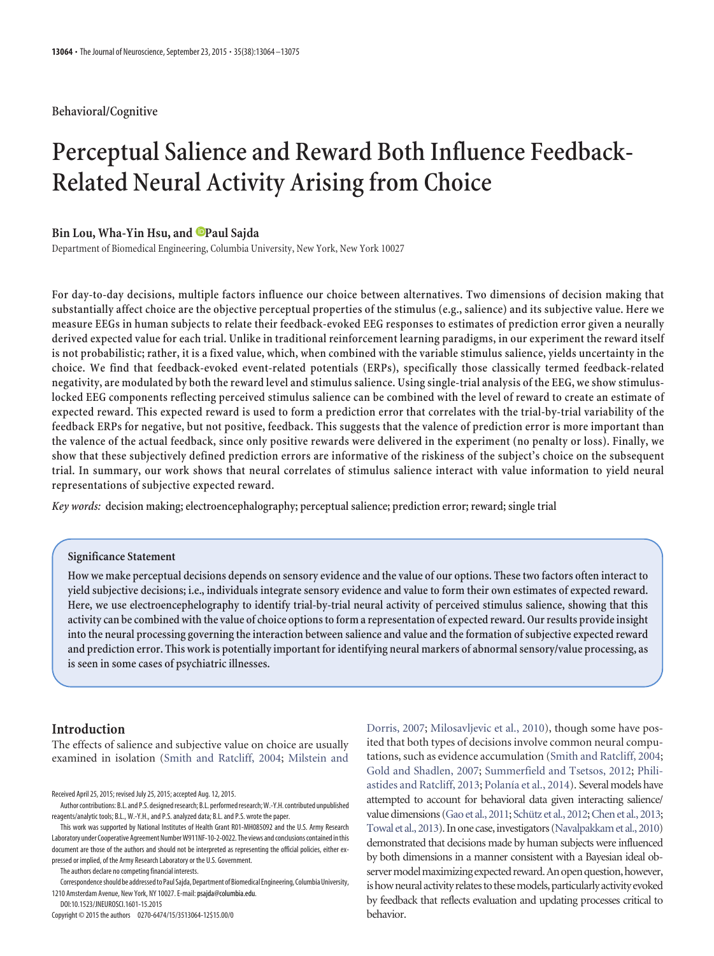**Behavioral/Cognitive**

# **Perceptual Salience and Reward Both Influence Feedback-Related Neural Activity Arising from Choice**

## **Bin Lou, Wha-Yin Hsu, and XPaul Sajda**

Department of Biomedical Engineering, Columbia University, New York, New York 10027

**For day-to-day decisions, multiple factors influence our choice between alternatives. Two dimensions of decision making that substantially affect choice are the objective perceptual properties of the stimulus (e.g., salience) and its subjective value. Here we measure EEGs in human subjects to relate their feedback-evoked EEG responses to estimates of prediction error given a neurally derived expected value for each trial. Unlike in traditional reinforcement learning paradigms, in our experiment the reward itself is not probabilistic; rather, it is a fixed value, which, when combined with the variable stimulus salience, yields uncertainty in the choice. We find that feedback-evoked event-related potentials (ERPs), specifically those classically termed feedback-related negativity, are modulated by both the reward level and stimulus salience. Using single-trial analysis of the EEG, we show stimuluslocked EEG components reflecting perceived stimulus salience can be combined with the level of reward to create an estimate of expected reward. This expected reward is used to form a prediction error that correlates with the trial-by-trial variability of the feedback ERPs for negative, but not positive, feedback. This suggests that the valence of prediction error is more important than the valence of the actual feedback, since only positive rewards were delivered in the experiment (no penalty or loss). Finally, we show that these subjectively defined prediction errors are informative of the riskiness of the subject's choice on the subsequent trial. In summary, our work shows that neural correlates of stimulus salience interact with value information to yield neural representations of subjective expected reward.**

*Key words:* **decision making; electroencephalography; perceptual salience; prediction error; reward; single trial**

## **Significance Statement**

**How we make perceptual decisions depends on sensory evidence and the value of our options. These two factors often interact to yield subjective decisions; i.e., individuals integrate sensory evidence and value to form their own estimates of expected reward. Here, we use electroencephelography to identify trial-by-trial neural activity of perceived stimulus salience, showing that this activity can be combined with the value of choice options to form a representation of expected reward. Our results provide insight into the neural processing governing the interaction between salience and value and the formation of subjective expected reward and prediction error. This work is potentially important for identifying neural markers of abnormal sensory/value processing, as is seen in some cases of psychiatric illnesses.**

## **Introduction**

The effects of salience and subjective value on choice are usually examined in isolation [\(Smith and Ratcliff, 2004;](#page-11-0) [Milstein and](#page-10-0)

Received April 25, 2015; revised July 25, 2015; accepted Aug. 12, 2015.

The authors declare no competing financial interests.

Correspondence should be addressed to Paul Sajda, Department of Biomedical Engineering, Columbia University, 1210 Amsterdam Avenue, New York, NY 10027. E-mail:psajda@columbia.edu.

DOI:10.1523/JNEUROSCI.1601-15.2015

Copyright © 2015 the authors 0270-6474/15/3513064-12\$15.00/0

[Dorris, 2007;](#page-10-0) [Milosavljevic et al., 2010\)](#page-10-1), though some have posited that both types of decisions involve common neural computations, such as evidence accumulation [\(Smith and Ratcliff, 2004;](#page-11-0) [Gold and Shadlen, 2007;](#page-10-2) [Summerfield and Tsetsos, 2012;](#page-11-1) [Phili](#page-10-3)[astides and Ratcliff, 2013;](#page-10-3) [Polanía et al., 2014\)](#page-10-4). Several models have attempted to account for behavioral data given interacting salience/ value dimensions [\(Gao et al., 2011;](#page-10-5) Schütz et al., 2012; [Chen et al., 2013;](#page-10-6) [Towal et al., 2013\)](#page-11-3). In one case, investigators [\(Navalpakkam et al., 2010\)](#page-10-7) demonstrated that decisions made by human subjects were influenced by both dimensions in a manner consistent with a Bayesian ideal observer model maximizing expected reward. An open question, however, is how neural activity relates to these models, particularly activity evoked by feedback that reflects evaluation and updating processes critical to behavior.

Author contributions: B.L. and P.S. designed research; B.L. performed research; W.-Y.H. contributed unpublished reagents/analytic tools; B.L., W.-Y.H., and P.S. analyzed data; B.L. and P.S. wrote the paper.

This work was supported by National Institutes of Health Grant R01-MH085092 and the U.S. Army Research Laboratory under Cooperative Agreement Number W911NF-10-2-0022. The views and conclusions contained in this document are those of the authors and should not be interpreted as representing the official policies, either expressed or implied, of the Army Research Laboratory or the U.S. Government.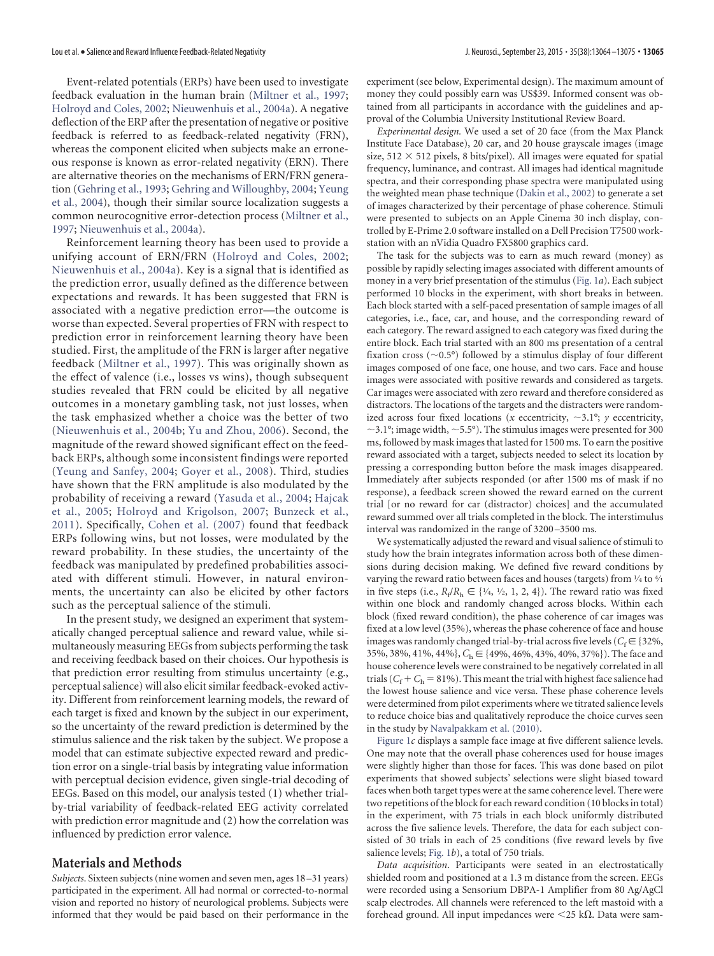Event-related potentials (ERPs) have been used to investigate feedback evaluation in the human brain [\(Miltner et al., 1997;](#page-10-8) [Holroyd and Coles, 2002;](#page-10-9) [Nieuwenhuis et al., 2004a\)](#page-10-10). A negative deflection of the ERP after the presentation of negative or positive feedback is referred to as feedback-related negativity (FRN), whereas the component elicited when subjects make an erroneous response is known as error-related negativity (ERN). There are alternative theories on the mechanisms of ERN/FRN generation [\(Gehring et al., 1993;](#page-10-11) [Gehring and Willoughby, 2004;](#page-10-12) [Yeung](#page-11-4) [et al., 2004\)](#page-11-4), though their similar source localization suggests a common neurocognitive error-detection process [\(Miltner et al.,](#page-10-8) [1997;](#page-10-8) [Nieuwenhuis et al., 2004a\)](#page-10-10).

Reinforcement learning theory has been used to provide a unifying account of ERN/FRN [\(Holroyd and Coles, 2002;](#page-10-9) [Nieuwenhuis et al., 2004a\)](#page-10-10). Key is a signal that is identified as the prediction error, usually defined as the difference between expectations and rewards. It has been suggested that FRN is associated with a negative prediction error—the outcome is worse than expected. Several properties of FRN with respect to prediction error in reinforcement learning theory have been studied. First, the amplitude of the FRN is larger after negative feedback [\(Miltner et al., 1997\)](#page-10-8). This was originally shown as the effect of valence (i.e., losses vs wins), though subsequent studies revealed that FRN could be elicited by all negative outcomes in a monetary gambling task, not just losses, when the task emphasized whether a choice was the better of two [\(Nieuwenhuis et al., 2004b;](#page-10-13) [Yu and Zhou, 2006\)](#page-11-5). Second, the magnitude of the reward showed significant effect on the feedback ERPs, although some inconsistent findings were reported [\(Yeung and Sanfey, 2004;](#page-11-6) [Goyer et al., 2008\)](#page-10-14). Third, studies have shown that the FRN amplitude is also modulated by the probability of receiving a reward [\(Yasuda et al., 2004;](#page-11-7) [Hajcak](#page-10-15) [et al., 2005;](#page-10-15) [Holroyd and Krigolson, 2007;](#page-10-16) [Bunzeck et al.,](#page-10-17) [2011\)](#page-10-17). Specifically, [Cohen et al. \(2007\)](#page-10-18) found that feedback ERPs following wins, but not losses, were modulated by the reward probability. In these studies, the uncertainty of the feedback was manipulated by predefined probabilities associated with different stimuli. However, in natural environments, the uncertainty can also be elicited by other factors such as the perceptual salience of the stimuli.

In the present study, we designed an experiment that systematically changed perceptual salience and reward value, while simultaneously measuring EEGs from subjects performing the task and receiving feedback based on their choices. Our hypothesis is that prediction error resulting from stimulus uncertainty (e.g., perceptual salience) will also elicit similar feedback-evoked activity. Different from reinforcement learning models, the reward of each target is fixed and known by the subject in our experiment, so the uncertainty of the reward prediction is determined by the stimulus salience and the risk taken by the subject. We propose a model that can estimate subjective expected reward and prediction error on a single-trial basis by integrating value information with perceptual decision evidence, given single-trial decoding of EEGs. Based on this model, our analysis tested (1) whether trialby-trial variability of feedback-related EEG activity correlated with prediction error magnitude and (2) how the correlation was influenced by prediction error valence.

# **Materials and Methods**

*Subjects*. Sixteen subjects (nine women and seven men, ages 18 –31 years) participated in the experiment. All had normal or corrected-to-normal vision and reported no history of neurological problems. Subjects were informed that they would be paid based on their performance in the experiment (see below, Experimental design). The maximum amount of money they could possibly earn was US\$39. Informed consent was obtained from all participants in accordance with the guidelines and approval of the Columbia University Institutional Review Board.

*Experimental design.* We used a set of 20 face (from the Max Planck Institute Face Database), 20 car, and 20 house grayscale images (image size, 512  $\times$  512 pixels, 8 bits/pixel). All images were equated for spatial frequency, luminance, and contrast. All images had identical magnitude spectra, and their corresponding phase spectra were manipulated using the weighted mean phase technique [\(Dakin et al., 2002\)](#page-10-19) to generate a set of images characterized by their percentage of phase coherence. Stimuli were presented to subjects on an Apple Cinema 30 inch display, controlled by E-Prime 2.0 software installed on a Dell Precision T7500 workstation with an nVidia Quadro FX5800 graphics card.

The task for the subjects was to earn as much reward (money) as possible by rapidly selecting images associated with different amounts of money in a very brief presentation of the stimulus [\(Fig. 1](#page-2-0)*a*). Each subject performed 10 blocks in the experiment, with short breaks in between. Each block started with a self-paced presentation of sample images of all categories, i.e., face, car, and house, and the corresponding reward of each category. The reward assigned to each category was fixed during the entire block. Each trial started with an 800 ms presentation of a central fixation cross ( $\sim$ 0.5°) followed by a stimulus display of four different images composed of one face, one house, and two cars. Face and house images were associated with positive rewards and considered as targets. Car images were associated with zero reward and therefore considered as distractors. The locations of the targets and the distracters were randomized across four fixed locations ( $x$  eccentricity,  $\sim$ 3.1°;  $y$  eccentricity,  $\sim$ 3.1°; image width,  $\sim$ 5.5°). The stimulus images were presented for 300 ms, followed by mask images that lasted for 1500 ms. To earn the positive reward associated with a target, subjects needed to select its location by pressing a corresponding button before the mask images disappeared. Immediately after subjects responded (or after 1500 ms of mask if no response), a feedback screen showed the reward earned on the current trial [or no reward for car (distractor) choices] and the accumulated reward summed over all trials completed in the block. The interstimulus interval was randomized in the range of 3200 –3500 ms.

We systematically adjusted the reward and visual salience of stimuli to study how the brain integrates information across both of these dimensions during decision making. We defined five reward conditions by varying the reward ratio between faces and houses (targets) from 1⁄4 to 4⁄1 in five steps (i.e.,  $R_f/R_h \in \{1/4, 1/2, 1, 2, 4\}$ ). The reward ratio was fixed within one block and randomly changed across blocks. Within each block (fixed reward condition), the phase coherence of car images was fixed at a low level (35%), whereas the phase coherence of face and house images was randomly changed trial-by-trial across five levels ( $C_f \in \{32\%,$ 35%, 38%, 41%, 44%}, *C*<sub>h</sub> ∈ {49%, 46%, 43%, 40%, 37%}). The face and house coherence levels were constrained to be negatively correlated in all trials  $(C_f + C_h = 81\%)$ . This meant the trial with highest face salience had the lowest house salience and vice versa. These phase coherence levels were determined from pilot experiments where we titrated salience levels to reduce choice bias and qualitatively reproduce the choice curves seen in the study by [Navalpakkam et al. \(2010\).](#page-10-7)

[Figure 1](#page-2-0)*c* displays a sample face image at five different salience levels. One may note that the overall phase coherences used for house images were slightly higher than those for faces. This was done based on pilot experiments that showed subjects' selections were slight biased toward faces when both target types were at the same coherence level. There were two repetitions of the block for each reward condition (10 blocks in total) in the experiment, with 75 trials in each block uniformly distributed across the five salience levels. Therefore, the data for each subject consisted of 30 trials in each of 25 conditions (five reward levels by five salience levels; [Fig. 1](#page-2-0)*b*), a total of 750 trials.

*Data acquisition*. Participants were seated in an electrostatically shielded room and positioned at a 1.3 m distance from the screen. EEGs were recorded using a Sensorium DBPA-1 Amplifier from 80 Ag/AgCl scalp electrodes. All channels were referenced to the left mastoid with a forehead ground. All input impedances were <25 k $\Omega$ . Data were sam-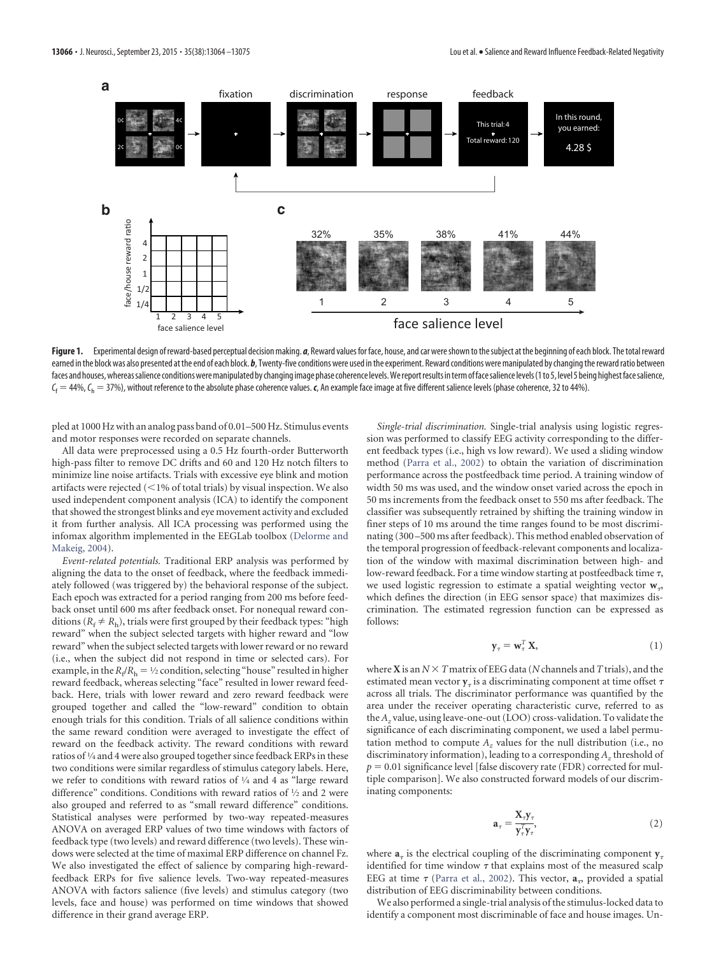

<span id="page-2-0"></span>Figure 1. Experimental design of reward-based perceptual decision making. *a*, Reward values for face, house, and car were shown to the subject at the beginning of each block. The total reward earned in the block was also presented at the end of each block. *b*, Twenty-five conditions were used in the experiment. Reward conditions were manipulated by changing the reward ratio between faces and houses, whereas salience conditions were manipulated by changing image phase coherence levels. We report results in term of face salience levels (1 to 5, level 5 being highest face salience,  $C_f = 44\%, C_h = 37\%$ ), without reference to the absolute phase coherence values. *c*, An example face image at five different salience levels (phase coherence, 32 to 44%).

pled at 1000 Hz with an analog pass band of 0.01–500 Hz. Stimulus events and motor responses were recorded on separate channels.

All data were preprocessed using a 0.5 Hz fourth-order Butterworth high-pass filter to remove DC drifts and 60 and 120 Hz notch filters to minimize line noise artifacts. Trials with excessive eye blink and motion artifacts were rejected  $(<1%$  of total trials) by visual inspection. We also used independent component analysis (ICA) to identify the component that showed the strongest blinks and eye movement activity and excluded it from further analysis. All ICA processing was performed using the infomax algorithm implemented in the EEGLab toolbox [\(Delorme and](#page-10-20) [Makeig, 2004\)](#page-10-20).

*Event-related potentials.* Traditional ERP analysis was performed by aligning the data to the onset of feedback, where the feedback immediately followed (was triggered by) the behavioral response of the subject. Each epoch was extracted for a period ranging from 200 ms before feedback onset until 600 ms after feedback onset. For nonequal reward conditions ( $R_f \neq R_h$ ), trials were first grouped by their feedback types: "high reward" when the subject selected targets with higher reward and "low reward" when the subject selected targets with lower reward or no reward (i.e., when the subject did not respond in time or selected cars). For example, in the  $R_f/R_h = \frac{1}{2}$  condition, selecting "house" resulted in higher reward feedback, whereas selecting "face" resulted in lower reward feedback. Here, trials with lower reward and zero reward feedback were grouped together and called the "low-reward" condition to obtain enough trials for this condition. Trials of all salience conditions within the same reward condition were averaged to investigate the effect of reward on the feedback activity. The reward conditions with reward ratios of 1⁄4 and 4 were also grouped together since feedback ERPs in these two conditions were similar regardless of stimulus category labels. Here, we refer to conditions with reward ratios of 1⁄4 and 4 as "large reward difference" conditions. Conditions with reward ratios of 1⁄2 and 2 were also grouped and referred to as "small reward difference" conditions. Statistical analyses were performed by two-way repeated-measures ANOVA on averaged ERP values of two time windows with factors of feedback type (two levels) and reward difference (two levels). These windows were selected at the time of maximal ERP difference on channel Fz. We also investigated the effect of salience by comparing high-rewardfeedback ERPs for five salience levels. Two-way repeated-measures ANOVA with factors salience (five levels) and stimulus category (two levels, face and house) was performed on time windows that showed difference in their grand average ERP.

*Single-trial discrimination.* Single-trial analysis using logistic regression was performed to classify EEG activity corresponding to the different feedback types (i.e., high vs low reward). We used a sliding window method [\(Parra et al., 2002\)](#page-10-21) to obtain the variation of discrimination performance across the postfeedback time period. A training window of width 50 ms was used, and the window onset varied across the epoch in 50 ms increments from the feedback onset to 550 ms after feedback. The classifier was subsequently retrained by shifting the training window in finer steps of 10 ms around the time ranges found to be most discriminating (300 –500 ms after feedback). This method enabled observation of the temporal progression of feedback-relevant components and localization of the window with maximal discrimination between high- and low-reward feedback. For a time window starting at postfeedback time  $\tau,$ we used logistic regression to estimate a spatial weighting vector **w**-, which defines the direction (in EEG sensor space) that maximizes discrimination. The estimated regression function can be expressed as follows:

$$
\mathbf{y}_{\tau} = \mathbf{w}_{\tau}^{T} \mathbf{X},\tag{1}
$$

where **X** is an  $N \times T$  matrix of EEG data (*N* channels and *T* trials), and the estimated mean vector  $y_\tau$  is a discriminating component at time offset  $\tau$ across all trials. The discriminator performance was quantified by the area under the receiver operating characteristic curve, referred to as the *Az* value, using leave-one-out (LOO) cross-validation. To validate the significance of each discriminating component, we used a label permutation method to compute *Az* values for the null distribution (i.e., no discriminatory information), leading to a corresponding *Az* threshold of  $p = 0.01$  significance level [false discovery rate (FDR) corrected for multiple comparison]. We also constructed forward models of our discriminating components:

$$
\mathbf{a}_{\tau} = \frac{\mathbf{X}_{\tau} \mathbf{y}_{\tau}}{\mathbf{y}_{\tau}^{\top} \mathbf{y}_{\tau}},\tag{2}
$$

where  $a_{\tau}$  is the electrical coupling of the discriminating component  $y_{\tau}$ identified for time window  $\tau$  that explains most of the measured scalp EEG at time  $\tau$  [\(Parra et al., 2002\)](#page-10-21). This vector,  $\mathbf{a}_{\tau}$ , provided a spatial distribution of EEG discriminability between conditions.

We also performed a single-trial analysis of the stimulus-locked data to identify a component most discriminable of face and house images. Un-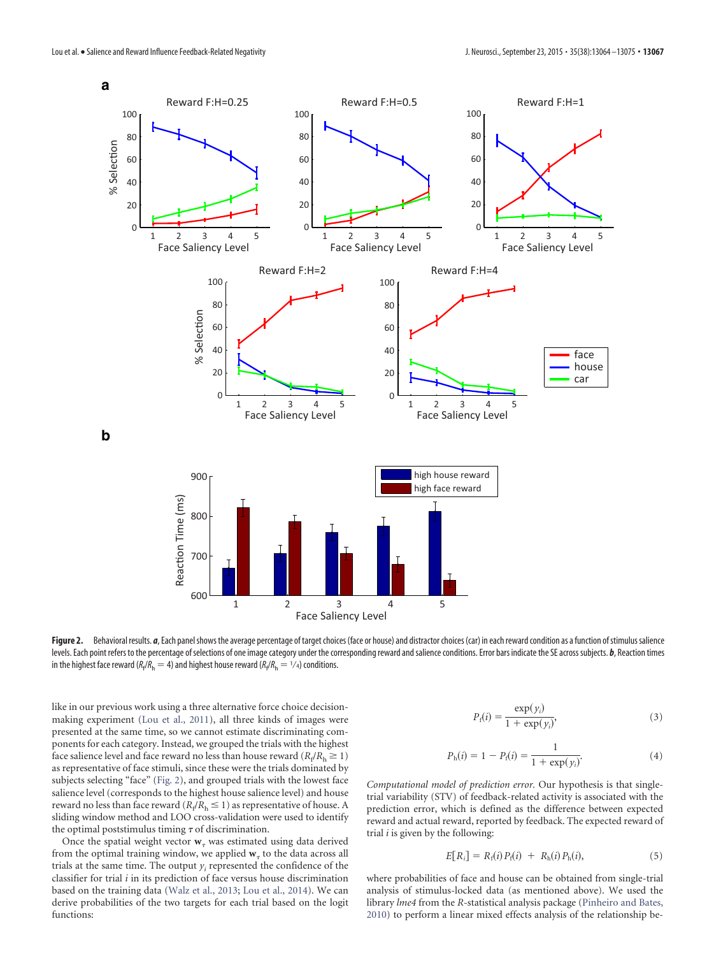

<span id="page-3-0"></span>Figure 2. Behavioral results. *a*, Each panel shows the average percentage of target choices (face or house) and distractor choices (car) in each reward condition as a function of stimulus salience levels. Each point refers to the percentage of selections of one image category under the corresponding reward and salience conditions. Error bars indicate the SE across subjects. *b*, Reaction times in the highest face reward ( $R_f/R_h = 4$ ) and highest house reward ( $R_f/R_h = \frac{1}{4}$ ) conditions.

like in our previous work using a three alternative force choice decisionmaking experiment [\(Lou et al., 2011\)](#page-10-22), all three kinds of images were presented at the same time, so we cannot estimate discriminating components for each category. Instead, we grouped the trials with the highest face salience level and face reward no less than house reward  $(R_f/R_h \ge 1)$ as representative of face stimuli, since these were the trials dominated by subjects selecting "face" [\(Fig. 2\)](#page-3-0), and grouped trials with the lowest face salience level (corresponds to the highest house salience level) and house reward no less than face reward  $(R_f/R_h \le 1)$  as representative of house. A sliding window method and LOO cross-validation were used to identify the optimal poststimulus timing  $\tau$  of discrimination.

Once the spatial weight vector  $w_{\tau}$  was estimated using data derived from the optimal training window, we applied  $w_\tau$  to the data across all trials at the same time. The output  $y_i$  represented the confidence of the classifier for trial *i* in its prediction of face versus house discrimination based on the training data [\(Walz et al., 2013;](#page-11-8) [Lou et al., 2014\)](#page-10-23). We can derive probabilities of the two targets for each trial based on the logit functions:

$$
P_{\rm f}(i) = \frac{\exp(y_i)}{1 + \exp(y_i)},\tag{3}
$$

$$
P_{\rm h}(i) = 1 - P_{\rm f}(i) = \frac{1}{1 + \exp(y_i)}.\tag{4}
$$

*Computational model of prediction error.* Our hypothesis is that singletrial variability (STV) of feedback-related activity is associated with the prediction error, which is defined as the difference between expected reward and actual reward, reported by feedback. The expected reward of trial *i* is given by the following:

$$
E[R_i] = R_f(i) P_f(i) + R_h(i) P_h(i), \qquad (5)
$$

where probabilities of face and house can be obtained from single-trial analysis of stimulus-locked data (as mentioned above). We used the library *lme4* from the *R*-statistical analysis package [\(Pinheiro and Bates,](#page-10-24) [2010\)](#page-10-24) to perform a linear mixed effects analysis of the relationship be-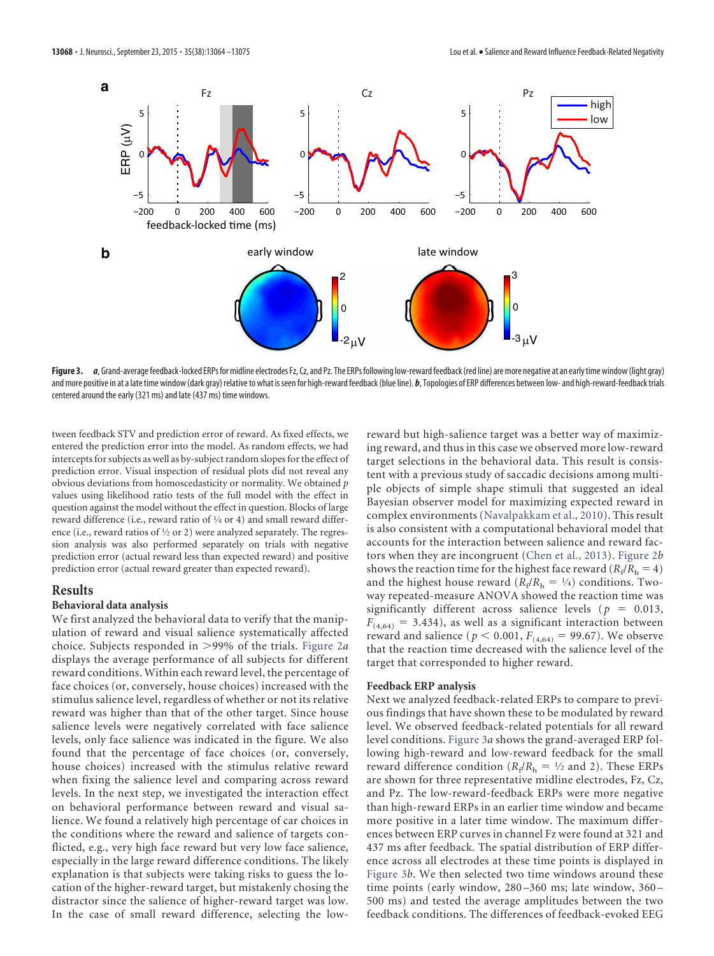

<span id="page-4-0"></span>Figure 3. *a*, Grand-average feedback-locked ERPs for midline electrodes Fz, Cz, and Pz. The ERPs following low-reward feedback (red line) are more negative at an early time window (light gray) and more positive in at a late time window (dark gray) relative to what is seen for high-reward feedback (blue line). *b*, Topologies of ERP differences between low- and high-reward-feedback trials centered around the early (321 ms) and late (437 ms) time windows.

tween feedback STV and prediction error of reward. As fixed effects, we entered the prediction error into the model. As random effects, we had intercepts for subjects as well as by-subject random slopes for the effect of prediction error. Visual inspection of residual plots did not reveal any obvious deviations from homoscedasticity or normality. We obtained *p* values using likelihood ratio tests of the full model with the effect in question against the model without the effect in question. Blocks of large reward difference (i.e., reward ratio of 1⁄4 or 4) and small reward difference (i.e., reward ratios of  $\frac{1}{2}$  or 2) were analyzed separately. The regression analysis was also performed separately on trials with negative prediction error (actual reward less than expected reward) and positive prediction error (actual reward greater than expected reward).

# **Results**

# **Behavioral data analysis**

We first analyzed the behavioral data to verify that the manipulation of reward and visual salience systematically affected choice. Subjects responded in 99% of the trials. [Figure 2](#page-3-0)*a* displays the average performance of all subjects for different reward conditions. Within each reward level, the percentage of face choices (or, conversely, house choices) increased with the stimulus salience level, regardless of whether or not its relative reward was higher than that of the other target. Since house salience levels were negatively correlated with face salience levels, only face salience was indicated in the figure. We also found that the percentage of face choices (or, conversely, house choices) increased with the stimulus relative reward when fixing the salience level and comparing across reward levels. In the next step, we investigated the interaction effect on behavioral performance between reward and visual salience. We found a relatively high percentage of car choices in the conditions where the reward and salience of targets conflicted, e.g., very high face reward but very low face salience, especially in the large reward difference conditions. The likely explanation is that subjects were taking risks to guess the location of the higher-reward target, but mistakenly chosing the distractor since the salience of higher-reward target was low. In the case of small reward difference, selecting the lowreward but high-salience target was a better way of maximizing reward, and thus in this case we observed more low-reward target selections in the behavioral data. This result is consistent with a previous study of saccadic decisions among multiple objects of simple shape stimuli that suggested an ideal Bayesian observer model for maximizing expected reward in complex environments [\(Navalpakkam et al., 2010\)](#page-10-7). This result is also consistent with a computational behavioral model that accounts for the interaction between salience and reward factors when they are incongruent [\(Chen et al., 2013\)](#page-10-6). [Figure 2](#page-3-0)*b* shows the reaction time for the highest face reward ( $R_f/R_h = 4$ ) and the highest house reward  $(R_f/R_h = 1/4)$  conditions. Twoway repeated-measure ANOVA showed the reaction time was significantly different across salience levels ( $p = 0.013$ ,  $F_{(4,64)} = 3.434$ , as well as a significant interaction between reward and salience ( $p < 0.001$ ,  $F_{(4,64)} = 99.67$ ). We observe that the reaction time decreased with the salience level of the target that corresponded to higher reward.

#### **Feedback ERP analysis**

Next we analyzed feedback-related ERPs to compare to previous findings that have shown these to be modulated by reward level. We observed feedback-related potentials for all reward level conditions. [Figure 3](#page-4-0)*a* shows the grand-averaged ERP following high-reward and low-reward feedback for the small reward difference condition  $(R_f/R_h = \frac{1}{2}$  and 2). These ERPs are shown for three representative midline electrodes, Fz, Cz, and Pz. The low-reward-feedback ERPs were more negative than high-reward ERPs in an earlier time window and became more positive in a later time window. The maximum differences between ERP curves in channel Fz were found at 321 and 437 ms after feedback. The spatial distribution of ERP difference across all electrodes at these time points is displayed in [Figure 3](#page-4-0)*b*. We then selected two time windows around these time points (early window, 280 –360 ms; late window, 360 – 500 ms) and tested the average amplitudes between the two feedback conditions. The differences of feedback-evoked EEG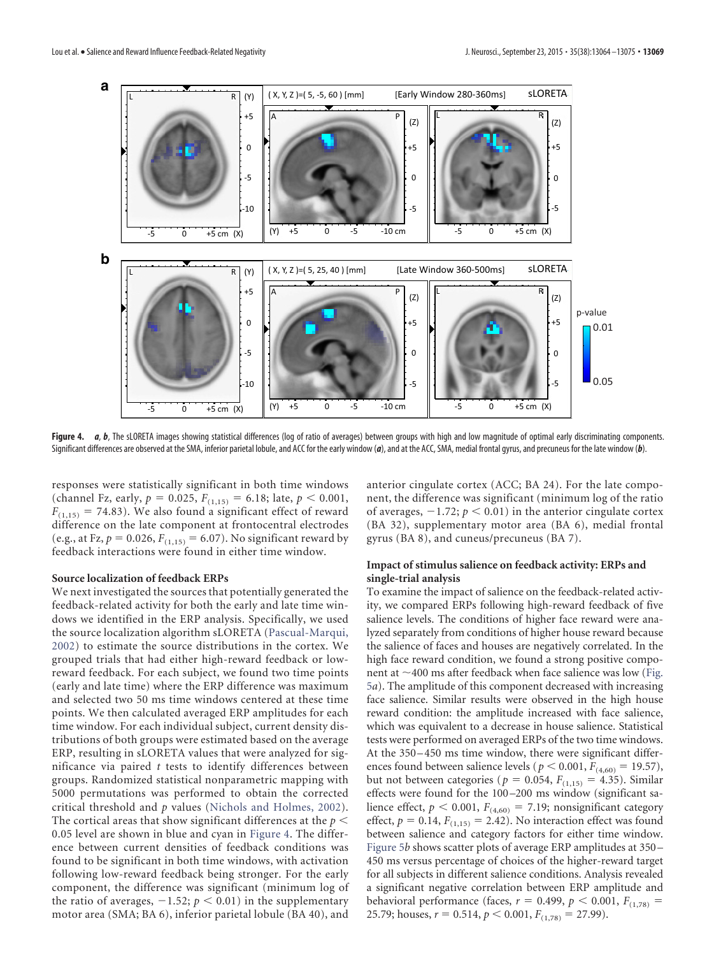

<span id="page-5-0"></span>Figure 4. *a*, *b*, The sLORETA images showing statistical differences (log of ratio of averages) between groups with high and low magnitude of optimal early discriminating components. Significant differences are observed at the SMA, inferior parietal lobule, and ACC for the early window (*a*), and at the ACC, SMA, medial frontal gyrus, and precuneus for the late window (*b*).

responses were statistically significant in both time windows (channel Fz, early,  $p = 0.025$ ,  $F_{(1,15)} = 6.18$ ; late,  $p < 0.001$ ,  $F_{(1,15)} = 74.83$ ). We also found a significant effect of reward difference on the late component at frontocentral electrodes (e.g., at Fz,  $p = 0.026$ ,  $F_{(1,15)} = 6.07$ ). No significant reward by feedback interactions were found in either time window.

#### **Source localization of feedback ERPs**

We next investigated the sources that potentially generated the feedback-related activity for both the early and late time windows we identified in the ERP analysis. Specifically, we used the source localization algorithm sLORETA [\(Pascual-Marqui,](#page-10-25) [2002\)](#page-10-25) to estimate the source distributions in the cortex. We grouped trials that had either high-reward feedback or lowreward feedback. For each subject, we found two time points (early and late time) where the ERP difference was maximum and selected two 50 ms time windows centered at these time points. We then calculated averaged ERP amplitudes for each time window. For each individual subject, current density distributions of both groups were estimated based on the average ERP, resulting in sLORETA values that were analyzed for significance via paired *t* tests to identify differences between groups. Randomized statistical nonparametric mapping with 5000 permutations was performed to obtain the corrected critical threshold and *p* values [\(Nichols and Holmes, 2002\)](#page-10-26). The cortical areas that show significant differences at the  $p <$ 0.05 level are shown in blue and cyan in [Figure 4.](#page-5-0) The difference between current densities of feedback conditions was found to be significant in both time windows, with activation following low-reward feedback being stronger. For the early component, the difference was significant (minimum log of the ratio of averages,  $-1.52$ ;  $p < 0.01$ ) in the supplementary motor area (SMA; BA 6), inferior parietal lobule (BA 40), and

anterior cingulate cortex (ACC; BA 24). For the late component, the difference was significant (minimum log of the ratio of averages,  $-1.72$ ;  $p < 0.01$ ) in the anterior cingulate cortex (BA 32), supplementary motor area (BA 6), medial frontal gyrus (BA 8), and cuneus/precuneus (BA 7).

## **Impact of stimulus salience on feedback activity: ERPs and single-trial analysis**

To examine the impact of salience on the feedback-related activity, we compared ERPs following high-reward feedback of five salience levels. The conditions of higher face reward were analyzed separately from conditions of higher house reward because the salience of faces and houses are negatively correlated. In the high face reward condition, we found a strong positive component at  $\sim$ 400 ms after feedback when face salience was low [\(Fig.](#page-6-0) [5](#page-6-0)*a*). The amplitude of this component decreased with increasing face salience. Similar results were observed in the high house reward condition: the amplitude increased with face salience, which was equivalent to a decrease in house salience. Statistical tests were performed on averaged ERPs of the two time windows. At the 350 – 450 ms time window, there were significant differences found between salience levels ( $p < 0.001$ ,  $F_{(4,60)} = 19.57$ ), but not between categories ( $p = 0.054$ ,  $F_{(1,15)} = 4.35$ ). Similar effects were found for the 100 –200 ms window (significant salience effect,  $p < 0.001$ ,  $F_{(4,60)} = 7.19$ ; nonsignificant category effect,  $p = 0.14$ ,  $F_{(1,15)} = 2.42$ ). No interaction effect was found between salience and category factors for either time window. [Figure 5](#page-6-0)*b* shows scatter plots of average ERP amplitudes at 350 – 450 ms versus percentage of choices of the higher-reward target for all subjects in different salience conditions. Analysis revealed a significant negative correlation between ERP amplitude and behavioral performance (faces,  $r = 0.499$ ,  $p < 0.001$ ,  $F_{(1,78)} =$ 25.79; houses,  $r = 0.514$ ,  $p < 0.001$ ,  $F_{(1,78)} = 27.99$ ).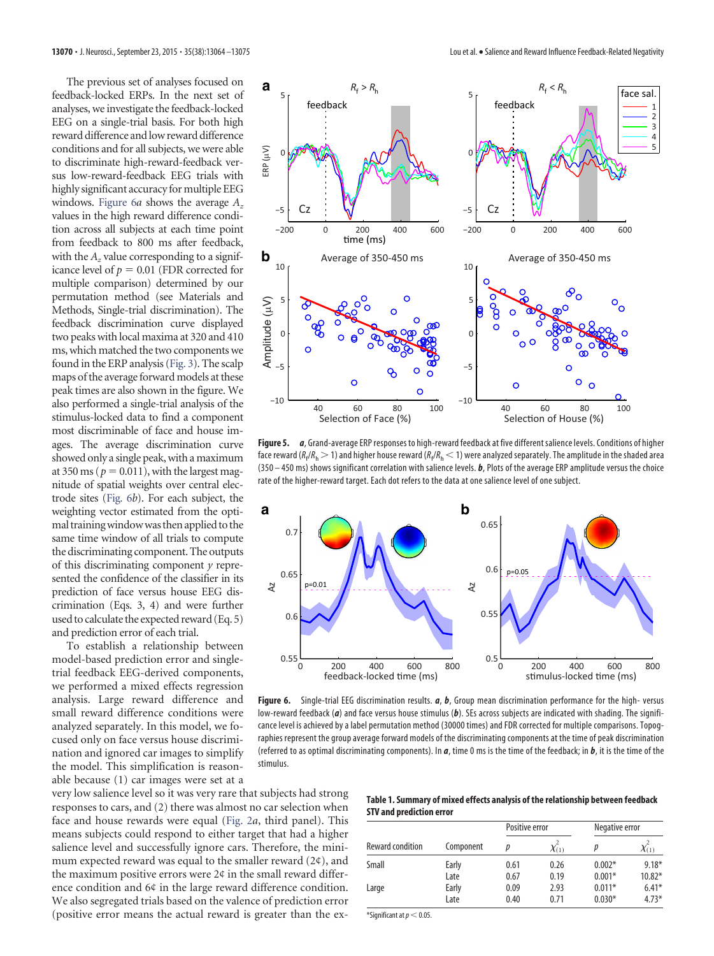The previous set of analyses focused on feedback-locked ERPs. In the next set of analyses, we investigate the feedback-locked EEG on a single-trial basis. For both high reward difference and low reward difference conditions and for all subjects, we were able to discriminate high-reward-feedback versus low-reward-feedback EEG trials with highly significant accuracy for multiple EEG windows. [Figure 6](#page-6-1)*a* shows the average *Az* values in the high reward difference condition across all subjects at each time point from feedback to 800 ms after feedback, with the  $A_z$  value corresponding to a significance level of  $p = 0.01$  (FDR corrected for multiple comparison) determined by our permutation method (see Materials and Methods, Single-trial discrimination). The feedback discrimination curve displayed two peaks with local maxima at 320 and 410 ms, which matched the two components we found in the ERP analysis [\(Fig. 3\)](#page-4-0). The scalp maps of the average forward models at these peak times are also shown in the figure. We also performed a single-trial analysis of the stimulus-locked data to find a component most discriminable of face and house images. The average discrimination curve showed only a single peak, with a maximum at 350 ms ( $p = 0.011$ ), with the largest magnitude of spatial weights over central electrode sites [\(Fig. 6](#page-6-1)*b*). For each subject, the weighting vector estimated from the optimal training window was then applied to the same time window of all trials to compute the discriminating component. The outputs of this discriminating component *y* represented the confidence of the classifier in its prediction of face versus house EEG discrimination (Eqs. 3, 4) and were further used to calculate the expected reward (Eq. 5) and prediction error of each trial.

To establish a relationship between model-based prediction error and singletrial feedback EEG-derived components, we performed a mixed effects regression analysis. Large reward difference and small reward difference conditions were analyzed separately. In this model, we focused only on face versus house discrimination and ignored car images to simplify the model. This simplification is reasonable because (1) car images were set at a



<span id="page-6-0"></span>**Figure 5.** *a*, Grand-average ERP responses to high-reward feedback at five differentsalience levels. Conditions of higher face reward ( $R_f/R_h>1$ ) and higher house reward ( $R_f/R_h< 1$ ) were analyzed separately. The amplitude in the shaded area (350 – 450 ms) shows significant correlation with salience levels. *b*, Plots of the average ERP amplitude versus the choice rate of the higher-reward target. Each dot refers to the data at one salience level of one subject.



<span id="page-6-1"></span>**Figure 6.** Single-trial EEG discrimination results. *a*, *b*, Group mean discrimination performance for the high- versus low-reward feedback (*a*) and face versus house stimulus (*b*). SEs across subjects are indicated with shading. The significance level is achieved by a label permutation method (30000 times) and FDR corrected for multiple comparisons. Topographies represent the group average forward models of the discriminating components at the time of peak discrimination (referred to as optimal discriminating components). In *a*, time 0 ms is the time of the feedback; in *b*, it is the time of the stimulus.

very low salience level so it was very rare that subjects had strong responses to cars, and (2) there was almost no car selection when face and house rewards were equal [\(Fig. 2](#page-3-0)*a*, third panel). This means subjects could respond to either target that had a higher salience level and successfully ignore cars. Therefore, the minimum expected reward was equal to the smaller reward (2¢), and the maximum positive errors were 2¢ in the small reward difference condition and 6¢ in the large reward difference condition. We also segregated trials based on the valence of prediction error (positive error means the actual reward is greater than the ex-

#### <span id="page-6-2"></span>**Table 1. Summary of mixed effects analysis of the relationship between feedback STV and prediction error**

| <b>Reward condition</b> | Component | Positive error |                | Negative error |              |
|-------------------------|-----------|----------------|----------------|----------------|--------------|
|                         |           |                | $\chi_{(1)}^2$ |                | $\chi_{(1)}$ |
| Small                   | Early     | 0.61           | 0.26           | $0.002*$       | $9.18*$      |
|                         | Late      | 0.67           | 0.19           | $0.001*$       | $10.82*$     |
| Large                   | Early     | 0.09           | 2.93           | $0.011*$       | $6.41*$      |
|                         | Late      | 0.40           | 0.71           | $0.030*$       | $4.73*$      |

 $*$ Significant at  $p < 0.05$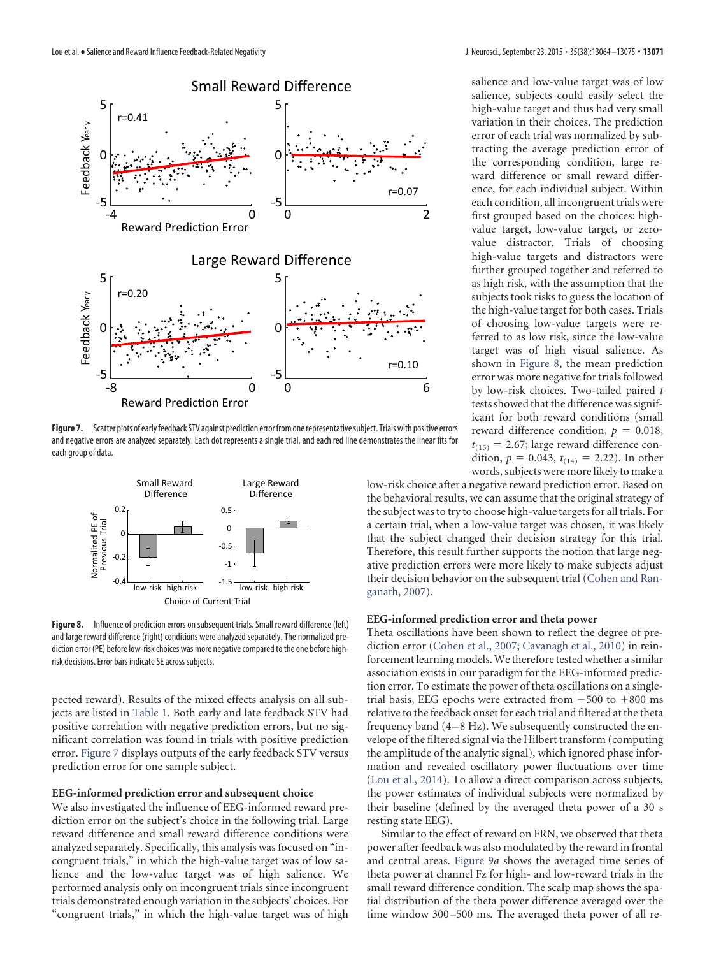

<span id="page-7-0"></span>Figure 7. Scatter plots of early feedback STV against prediction error from one representative subject. Trials with positive errors and negative errors are analyzed separately. Each dot represents a single trial, and each red line demonstrates the linear fits for each group of data.



<span id="page-7-1"></span>Figure 8. Influence of prediction errors on subsequent trials. Small reward difference (left) and large reward difference (right) conditions were analyzed separately. The normalized prediction error (PE) before low-risk choices was more negative compared to the one before highrisk decisions. Error bars indicate SE across subjects.

pected reward). Results of the mixed effects analysis on all subjects are listed in [Table 1.](#page-6-2) Both early and late feedback STV had positive correlation with negative prediction errors, but no significant correlation was found in trials with positive prediction error. [Figure 7](#page-7-0) displays outputs of the early feedback STV versus prediction error for one sample subject.

## **EEG-informed prediction error and subsequent choice**

We also investigated the influence of EEG-informed reward prediction error on the subject's choice in the following trial. Large reward difference and small reward difference conditions were analyzed separately. Specifically, this analysis was focused on "incongruent trials," in which the high-value target was of low salience and the low-value target was of high salience. We performed analysis only on incongruent trials since incongruent trials demonstrated enough variation in the subjects' choices. For "congruent trials," in which the high-value target was of high salience and low-value target was of low salience, subjects could easily select the high-value target and thus had very small variation in their choices. The prediction error of each trial was normalized by subtracting the average prediction error of the corresponding condition, large reward difference or small reward difference, for each individual subject. Within each condition, all incongruent trials were first grouped based on the choices: highvalue target, low-value target, or zerovalue distractor. Trials of choosing high-value targets and distractors were further grouped together and referred to as high risk, with the assumption that the subjects took risks to guess the location of the high-value target for both cases. Trials of choosing low-value targets were referred to as low risk, since the low-value target was of high visual salience. As shown in [Figure 8,](#page-7-1) the mean prediction error was more negative for trials followed by low-risk choices. Two-tailed paired *t* tests showed that the difference was significant for both reward conditions (small reward difference condition,  $p = 0.018$ ,  $t_{(15)} = 2.67$ ; large reward difference condition,  $p = 0.043$ ,  $t_{(14)} = 2.22$ ). In other words, subjects were more likely to make a

low-risk choice after a negative reward prediction error. Based on the behavioral results, we can assume that the original strategy of the subject was to try to choose high-value targets for all trials. For a certain trial, when a low-value target was chosen, it was likely that the subject changed their decision strategy for this trial. Therefore, this result further supports the notion that large negative prediction errors were more likely to make subjects adjust their decision behavior on the subsequent trial [\(Cohen and Ran](#page-10-27)[ganath, 2007\)](#page-10-27).

# **EEG-informed prediction error and theta power**

Theta oscillations have been shown to reflect the degree of prediction error [\(Cohen et al., 2007;](#page-10-27) [Cavanagh et al., 2010\)](#page-10-28) in reinforcement learning models. We therefore tested whether a similar association exists in our paradigm for the EEG-informed prediction error. To estimate the power of theta oscillations on a singletrial basis, EEG epochs were extracted from  $-500$  to  $+800$  ms relative to the feedback onset for each trial and filtered at the theta frequency band  $(4-8 Hz)$ . We subsequently constructed the envelope of the filtered signal via the Hilbert transform (computing the amplitude of the analytic signal), which ignored phase information and revealed oscillatory power fluctuations over time [\(Lou et al., 2014\)](#page-10-23). To allow a direct comparison across subjects, the power estimates of individual subjects were normalized by their baseline (defined by the averaged theta power of a 30 s resting state EEG).

Similar to the effect of reward on FRN, we observed that theta power after feedback was also modulated by the reward in frontal and central areas. [Figure 9](#page-8-0)*a* shows the averaged time series of theta power at channel Fz for high- and low-reward trials in the small reward difference condition. The scalp map shows the spatial distribution of the theta power difference averaged over the time window 300-500 ms. The averaged theta power of all re-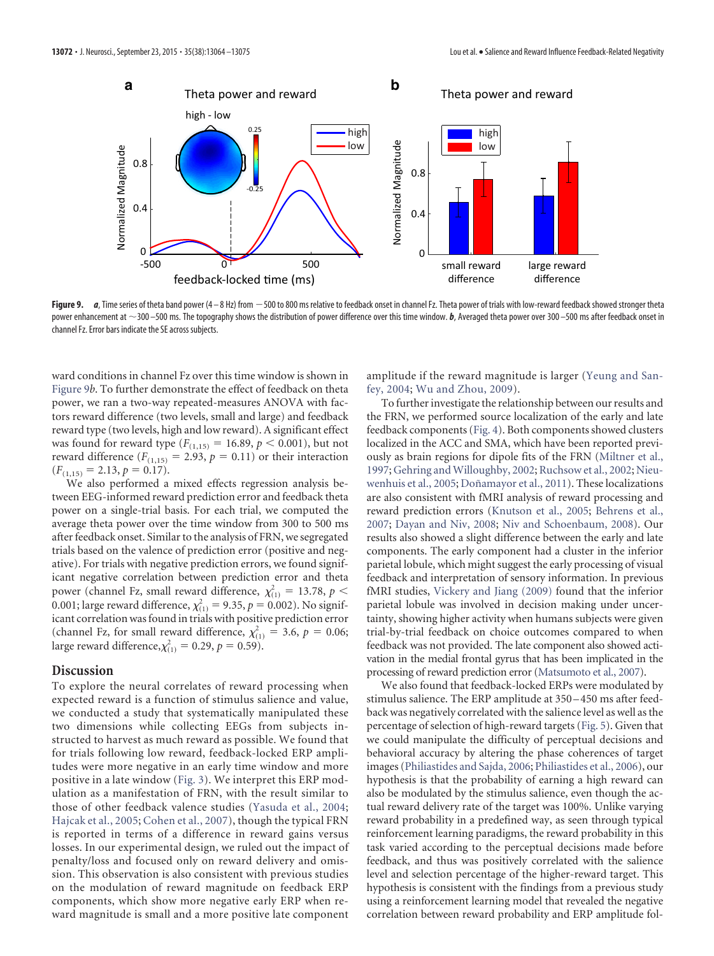

<span id="page-8-0"></span>Figure 9. *a*, Time series of theta band power (4 – 8 Hz) from  $-500$  to 800 ms relative to feedback onset in channel Fz. Theta power of trials with low-reward feedback showed stronger theta power enhancement at ~300 –500 ms. The topography shows the distribution of power difference over this time window. *b*, Averaged theta power over 300 –500 ms after feedback onset in channel Fz. Error bars indicate the SE across subjects.

ward conditions in channel Fz over this time window is shown in [Figure 9](#page-8-0)*b*. To further demonstrate the effect of feedback on theta power, we ran a two-way repeated-measures ANOVA with factors reward difference (two levels, small and large) and feedback reward type (two levels, high and low reward). A significant effect was found for reward type  $(F_{(1,15)} = 16.89, p \le 0.001)$ , but not reward difference  $(F_{(1,15)} = 2.93, p = 0.11)$  or their interaction  $(F_{(1,15)} = 2.13, p = 0.17).$ 

We also performed a mixed effects regression analysis between EEG-informed reward prediction error and feedback theta power on a single-trial basis. For each trial, we computed the average theta power over the time window from 300 to 500 ms after feedback onset. Similar to the analysis of FRN, we segregated trials based on the valence of prediction error (positive and negative). For trials with negative prediction errors, we found significant negative correlation between prediction error and theta power (channel Fz, small reward difference,  $\chi^2_{(1)} = 13.78, p <$ 0.001; large reward difference,  $\chi^{2}_{(1)} = 9.35, p = 0.002$ ). No significant correlation was found in trials with positive prediction error (channel Fz, for small reward difference,  $\chi^2_{(1)} = 3.6$ ,  $p = 0.06$ ; large reward difference,  $\chi^2_{(1)} = 0.29$ ,  $p = 0.59$ ).

## **Discussion**

To explore the neural correlates of reward processing when expected reward is a function of stimulus salience and value, we conducted a study that systematically manipulated these two dimensions while collecting EEGs from subjects instructed to harvest as much reward as possible. We found that for trials following low reward, feedback-locked ERP amplitudes were more negative in an early time window and more positive in a late window [\(Fig. 3\)](#page-4-0). We interpret this ERP modulation as a manifestation of FRN, with the result similar to those of other feedback valence studies [\(Yasuda et al., 2004;](#page-11-7) [Hajcak et al., 2005;](#page-10-15) [Cohen et al., 2007\)](#page-10-27), though the typical FRN is reported in terms of a difference in reward gains versus losses. In our experimental design, we ruled out the impact of penalty/loss and focused only on reward delivery and omission. This observation is also consistent with previous studies on the modulation of reward magnitude on feedback ERP components, which show more negative early ERP when reward magnitude is small and a more positive late component

amplitude if the reward magnitude is larger [\(Yeung and San](#page-11-6)[fey, 2004;](#page-11-6) [Wu and Zhou, 2009\)](#page-11-9).

To further investigate the relationship between our results and the FRN, we performed source localization of the early and late feedback components [\(Fig. 4\)](#page-5-0). Both components showed clusters localized in the ACC and SMA, which have been reported previously as brain regions for dipole fits of the FRN [\(Miltner et al.,](#page-10-8) [1997;](#page-10-8) [Gehring and Willoughby, 2002;](#page-10-29) [Ruchsow et al., 2002;](#page-11-10) [Nieu](#page-10-30)[wenhuis et al., 2005;](#page-10-30) Doñamayor et al., 2011). These localizations are also consistent with fMRI analysis of reward processing and reward prediction errors [\(Knutson et al., 2005;](#page-10-32) [Behrens et al.,](#page-10-33) [2007;](#page-10-33) [Dayan and Niv, 2008;](#page-10-34) [Niv and Schoenbaum, 2008\)](#page-10-35). Our results also showed a slight difference between the early and late components. The early component had a cluster in the inferior parietal lobule, which might suggest the early processing of visual feedback and interpretation of sensory information. In previous fMRI studies, [Vickery and Jiang \(2009\)](#page-11-11) found that the inferior parietal lobule was involved in decision making under uncertainty, showing higher activity when humans subjects were given trial-by-trial feedback on choice outcomes compared to when feedback was not provided. The late component also showed activation in the medial frontal gyrus that has been implicated in the processing of reward prediction error [\(Matsumoto et al., 2007\)](#page-10-36).

We also found that feedback-locked ERPs were modulated by stimulus salience. The ERP amplitude at 350 – 450 ms after feedback was negatively correlated with the salience level as well as the percentage of selection of high-reward targets [\(Fig. 5\)](#page-6-0). Given that we could manipulate the difficulty of perceptual decisions and behavioral accuracy by altering the phase coherences of target images [\(Philiastides and Sajda, 2006;](#page-10-37) [Philiastides et al., 2006\)](#page-10-38), our hypothesis is that the probability of earning a high reward can also be modulated by the stimulus salience, even though the actual reward delivery rate of the target was 100%. Unlike varying reward probability in a predefined way, as seen through typical reinforcement learning paradigms, the reward probability in this task varied according to the perceptual decisions made before feedback, and thus was positively correlated with the salience level and selection percentage of the higher-reward target. This hypothesis is consistent with the findings from a previous study using a reinforcement learning model that revealed the negative correlation between reward probability and ERP amplitude fol-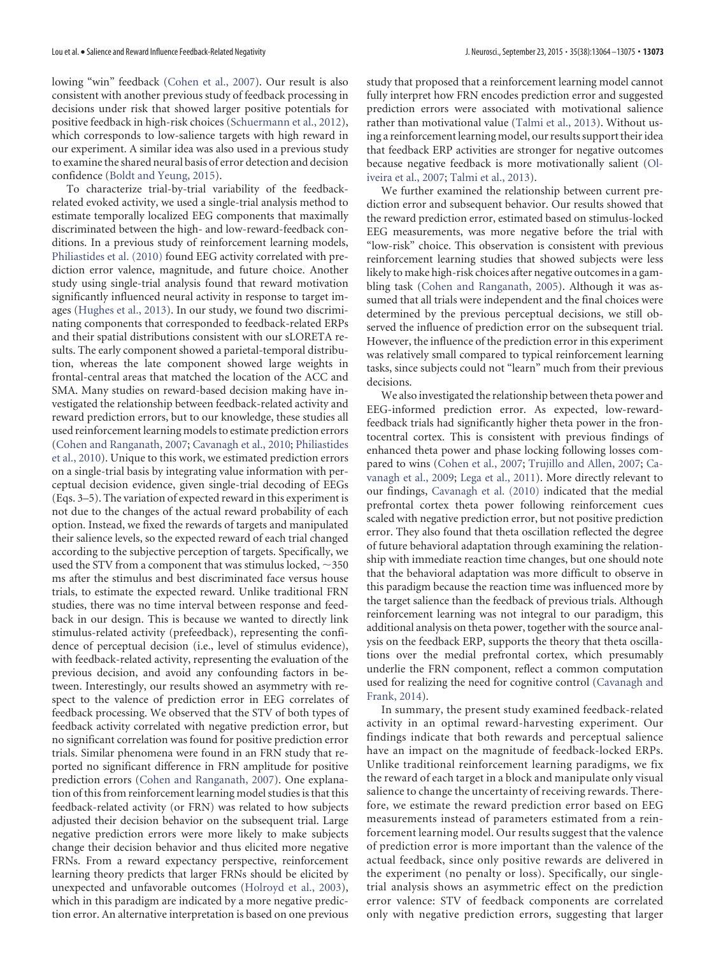lowing "win" feedback [\(Cohen et al., 2007\)](#page-10-18). Our result is also consistent with another previous study of feedback processing in decisions under risk that showed larger positive potentials for positive feedback in high-risk choices [\(Schuermann et al., 2012\)](#page-11-12), which corresponds to low-salience targets with high reward in our experiment. A similar idea was also used in a previous study to examine the shared neural basis of error detection and decision confidence [\(Boldt and Yeung, 2015\)](#page-10-39).

To characterize trial-by-trial variability of the feedbackrelated evoked activity, we used a single-trial analysis method to estimate temporally localized EEG components that maximally discriminated between the high- and low-reward-feedback conditions. In a previous study of reinforcement learning models, [Philiastides et al. \(2010\)](#page-10-40) found EEG activity correlated with prediction error valence, magnitude, and future choice. Another study using single-trial analysis found that reward motivation significantly influenced neural activity in response to target images [\(Hughes et al., 2013\)](#page-10-41). In our study, we found two discriminating components that corresponded to feedback-related ERPs and their spatial distributions consistent with our sLORETA results. The early component showed a parietal-temporal distribution, whereas the late component showed large weights in frontal-central areas that matched the location of the ACC and SMA. Many studies on reward-based decision making have investigated the relationship between feedback-related activity and reward prediction errors, but to our knowledge, these studies all used reinforcement learning models to estimate prediction errors [\(Cohen and Ranganath, 2007;](#page-10-27) [Cavanagh et al., 2010;](#page-10-28) [Philiastides](#page-10-40) [et al., 2010\)](#page-10-40). Unique to this work, we estimated prediction errors on a single-trial basis by integrating value information with perceptual decision evidence, given single-trial decoding of EEGs (Eqs. 3–5). The variation of expected reward in this experiment is not due to the changes of the actual reward probability of each option. Instead, we fixed the rewards of targets and manipulated their salience levels, so the expected reward of each trial changed according to the subjective perception of targets. Specifically, we used the STV from a component that was stimulus locked,  $\sim$ 350 ms after the stimulus and best discriminated face versus house trials, to estimate the expected reward. Unlike traditional FRN studies, there was no time interval between response and feedback in our design. This is because we wanted to directly link stimulus-related activity (prefeedback), representing the confidence of perceptual decision (i.e., level of stimulus evidence), with feedback-related activity, representing the evaluation of the previous decision, and avoid any confounding factors in between. Interestingly, our results showed an asymmetry with respect to the valence of prediction error in EEG correlates of feedback processing. We observed that the STV of both types of feedback activity correlated with negative prediction error, but no significant correlation was found for positive prediction error trials. Similar phenomena were found in an FRN study that reported no significant difference in FRN amplitude for positive prediction errors [\(Cohen and Ranganath, 2007\)](#page-10-27). One explanation of this from reinforcement learning model studies is that this feedback-related activity (or FRN) was related to how subjects adjusted their decision behavior on the subsequent trial. Large negative prediction errors were more likely to make subjects change their decision behavior and thus elicited more negative FRNs. From a reward expectancy perspective, reinforcement learning theory predicts that larger FRNs should be elicited by unexpected and unfavorable outcomes [\(Holroyd et al., 2003\)](#page-10-42), which in this paradigm are indicated by a more negative prediction error. An alternative interpretation is based on one previous

study that proposed that a reinforcement learning model cannot fully interpret how FRN encodes prediction error and suggested prediction errors were associated with motivational salience rather than motivational value [\(Talmi et al., 2013\)](#page-11-13). Without using a reinforcement learning model, our results support their idea that feedback ERP activities are stronger for negative outcomes because negative feedback is more motivationally salient [\(Ol](#page-10-43)[iveira et al., 2007;](#page-10-43) [Talmi et al., 2013\)](#page-11-13).

We further examined the relationship between current prediction error and subsequent behavior. Our results showed that the reward prediction error, estimated based on stimulus-locked EEG measurements, was more negative before the trial with "low-risk" choice. This observation is consistent with previous reinforcement learning studies that showed subjects were less likely to make high-risk choices after negative outcomes in a gambling task [\(Cohen and Ranganath, 2005\)](#page-10-44). Although it was assumed that all trials were independent and the final choices were determined by the previous perceptual decisions, we still observed the influence of prediction error on the subsequent trial. However, the influence of the prediction error in this experiment was relatively small compared to typical reinforcement learning tasks, since subjects could not "learn" much from their previous decisions.

We also investigated the relationship between theta power and EEG-informed prediction error. As expected, low-rewardfeedback trials had significantly higher theta power in the frontocentral cortex. This is consistent with previous findings of enhanced theta power and phase locking following losses compared to wins [\(Cohen et al., 2007;](#page-10-18) [Trujillo and Allen, 2007;](#page-11-14) [Ca](#page-10-45)[vanagh et al., 2009;](#page-10-45) [Lega et al., 2011\)](#page-10-46). More directly relevant to our findings, [Cavanagh et al. \(2010\)](#page-10-28) indicated that the medial prefrontal cortex theta power following reinforcement cues scaled with negative prediction error, but not positive prediction error. They also found that theta oscillation reflected the degree of future behavioral adaptation through examining the relationship with immediate reaction time changes, but one should note that the behavioral adaptation was more difficult to observe in this paradigm because the reaction time was influenced more by the target salience than the feedback of previous trials. Although reinforcement learning was not integral to our paradigm, this additional analysis on theta power, together with the source analysis on the feedback ERP, supports the theory that theta oscillations over the medial prefrontal cortex, which presumably underlie the FRN component, reflect a common computation used for realizing the need for cognitive control [\(Cavanagh and](#page-10-47) [Frank, 2014\)](#page-10-47).

In summary, the present study examined feedback-related activity in an optimal reward-harvesting experiment. Our findings indicate that both rewards and perceptual salience have an impact on the magnitude of feedback-locked ERPs. Unlike traditional reinforcement learning paradigms, we fix the reward of each target in a block and manipulate only visual salience to change the uncertainty of receiving rewards. Therefore, we estimate the reward prediction error based on EEG measurements instead of parameters estimated from a reinforcement learning model. Our results suggest that the valence of prediction error is more important than the valence of the actual feedback, since only positive rewards are delivered in the experiment (no penalty or loss). Specifically, our singletrial analysis shows an asymmetric effect on the prediction error valence: STV of feedback components are correlated only with negative prediction errors, suggesting that larger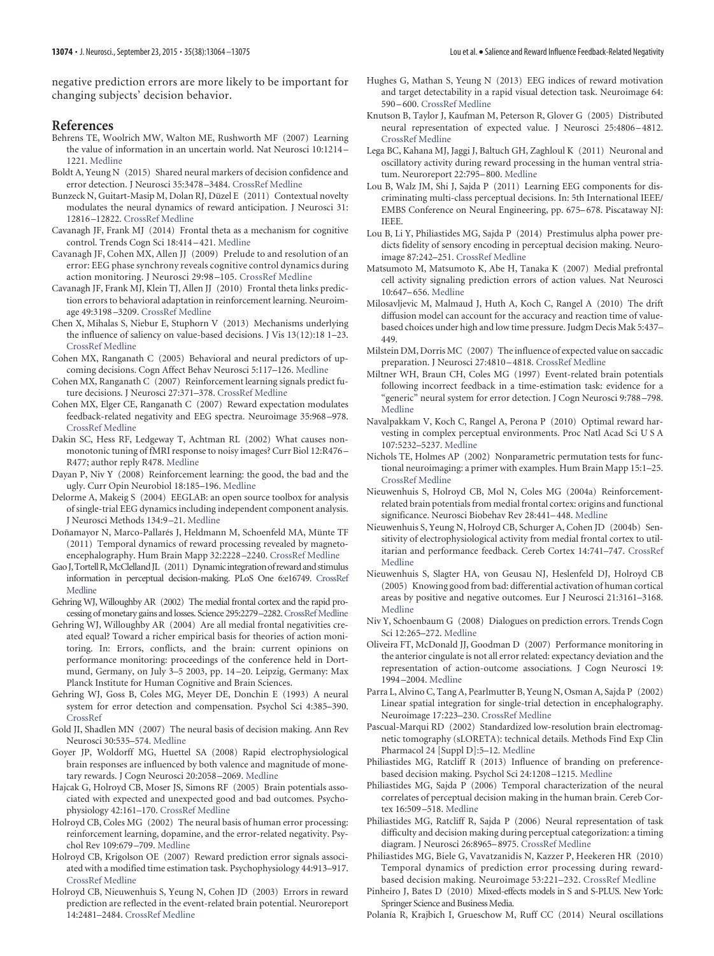negative prediction errors are more likely to be important for changing subjects' decision behavior.

#### **References**

- <span id="page-10-33"></span>Behrens TE, Woolrich MW, Walton ME, Rushworth MF (2007) Learning the value of information in an uncertain world. Nat Neurosci 10:1214 – 1221. [Medline](http://www.ncbi.nlm.nih.gov/pubmed/17676057)
- <span id="page-10-39"></span>Boldt A, Yeung N (2015) Shared neural markers of decision confidence and error detection. J Neurosci 35:3478 –3484. [CrossRef](http://dx.doi.org/10.1523/JNEUROSCI.0797-14.2015) [Medline](http://www.ncbi.nlm.nih.gov/pubmed/25716847)
- <span id="page-10-17"></span>Bunzeck N, Guitart-Masip M, Dolan RJ, Düzel E (2011) Contextual novelty modulates the neural dynamics of reward anticipation. J Neurosci 31: 12816 –12822. [CrossRef](http://dx.doi.org/10.1523/JNEUROSCI.0461-11.2011) [Medline](http://www.ncbi.nlm.nih.gov/pubmed/21900560)
- <span id="page-10-47"></span>Cavanagh JF, Frank MJ (2014) Frontal theta as a mechanism for cognitive control. Trends Cogn Sci 18:414 – 421. [Medline](http://www.ncbi.nlm.nih.gov/pubmed/24835663)
- <span id="page-10-45"></span>Cavanagh JF, Cohen MX, Allen JJ (2009) Prelude to and resolution of an error: EEG phase synchrony reveals cognitive control dynamics during action monitoring. J Neurosci 29:98 –105. [CrossRef](http://dx.doi.org/10.1523/JNEUROSCI.4137-08.2009) [Medline](http://www.ncbi.nlm.nih.gov/pubmed/19129388)
- <span id="page-10-28"></span>Cavanagh JF, Frank MJ, Klein TJ, Allen JJ (2010) Frontal theta links prediction errors to behavioral adaptation in reinforcement learning. Neuroimage 49:3198 –3209. [CrossRef](http://dx.doi.org/10.1016/j.neuroimage.2009.11.080) [Medline](http://www.ncbi.nlm.nih.gov/pubmed/19969093)
- <span id="page-10-6"></span>Chen X, Mihalas S, Niebur E, Stuphorn V (2013) Mechanisms underlying the influence of saliency on value-based decisions. J Vis 13(12):18 1–23. [CrossRef](http://dx.doi.org/10.1167/13.12.18) [Medline](http://www.ncbi.nlm.nih.gov/pubmed/24167161)
- <span id="page-10-44"></span>Cohen MX, Ranganath C (2005) Behavioral and neural predictors of upcoming decisions. Cogn Affect Behav Neurosci 5:117–126. [Medline](http://www.ncbi.nlm.nih.gov/pubmed/16180619)
- <span id="page-10-27"></span>Cohen MX, Ranganath C (2007) Reinforcement learning signals predict future decisions. J Neurosci 27:371–378. [CrossRef](http://dx.doi.org/10.1523/JNEUROSCI.4421-06.2007) [Medline](http://www.ncbi.nlm.nih.gov/pubmed/17215398)
- <span id="page-10-18"></span>Cohen MX, Elger CE, Ranganath C (2007) Reward expectation modulates feedback-related negativity and EEG spectra. Neuroimage 35:968 –978. [CrossRef](http://dx.doi.org/10.1016/j.neuroimage.2006.11.056) [Medline](http://www.ncbi.nlm.nih.gov/pubmed/17257860)
- <span id="page-10-19"></span>Dakin SC, Hess RF, Ledgeway T, Achtman RL (2002) What causes nonmonotonic tuning of fMRI response to noisy images? Curr Biol 12:R476 – R477; author reply R478. [Medline](http://www.ncbi.nlm.nih.gov/pubmed/12176342)
- <span id="page-10-34"></span>Dayan P, Niv Y (2008) Reinforcement learning: the good, the bad and the ugly. Curr Opin Neurobiol 18:185–196. [Medline](http://www.ncbi.nlm.nih.gov/pubmed/18708140)
- <span id="page-10-20"></span>Delorme A, Makeig S (2004) EEGLAB: an open source toolbox for analysis of single-trial EEG dynamics including independent component analysis. J Neurosci Methods 134:9 –21. [Medline](http://www.ncbi.nlm.nih.gov/pubmed/15102499)
- <span id="page-10-31"></span>Doñamayor N, Marco-Pallarés J, Heldmann M, Schoenfeld MA, Münte TF (2011) Temporal dynamics of reward processing revealed by magnetoencephalography. Hum Brain Mapp 32:2228 –2240. [CrossRef](http://dx.doi.org/10.1002/hbm.21184) [Medline](http://www.ncbi.nlm.nih.gov/pubmed/21305665)
- <span id="page-10-5"></span>Gao J, Tortell R, McClelland JL (2011) Dynamic integration of reward and stimulus information in perceptual decision-making. PLoS One 6:e16749. [CrossRef](http://dx.doi.org/10.1371/journal.pone.0016749) [Medline](http://www.ncbi.nlm.nih.gov/pubmed/21390225)
- <span id="page-10-29"></span>Gehring WJ, Willoughby AR (2002) The medial frontal cortex and the rapid processing of monetary gains and losses. Science 295:2279–2282.[CrossRef](http://dx.doi.org/10.1126/science.1066893) [Medline](http://www.ncbi.nlm.nih.gov/pubmed/11910116)
- <span id="page-10-12"></span>Gehring WJ, Willoughby AR (2004) Are all medial frontal negativities created equal? Toward a richer empirical basis for theories of action monitoring. In: Errors, conflicts, and the brain: current opinions on performance monitoring: proceedings of the conference held in Dortmund, Germany, on July 3–5 2003, pp. 14 –20. Leipzig, Germany: Max Planck Institute for Human Cognitive and Brain Sciences.
- <span id="page-10-11"></span>Gehring WJ, Goss B, Coles MG, Meyer DE, Donchin E (1993) A neural system for error detection and compensation. Psychol Sci 4:385–390. [CrossRef](http://dx.doi.org/10.1111/j.1467-9280.1993.tb00586.x)
- <span id="page-10-2"></span>Gold JI, Shadlen MN (2007) The neural basis of decision making. Ann Rev Neurosci 30:535–574. [Medline](http://www.ncbi.nlm.nih.gov/pubmed/17600525)
- <span id="page-10-14"></span>Goyer JP, Woldorff MG, Huettel SA (2008) Rapid electrophysiological brain responses are influenced by both valence and magnitude of monetary rewards. J Cogn Neurosci 20:2058 –2069. [Medline](http://www.ncbi.nlm.nih.gov/pubmed/18416673)
- <span id="page-10-15"></span>Hajcak G, Holroyd CB, Moser JS, Simons RF (2005) Brain potentials associated with expected and unexpected good and bad outcomes. Psychophysiology 42:161–170. [CrossRef](http://dx.doi.org/10.1111/j.1469-8986.2005.00278.x) [Medline](http://www.ncbi.nlm.nih.gov/pubmed/15787853)
- <span id="page-10-9"></span>Holroyd CB, Coles MG (2002) The neural basis of human error processing: reinforcement learning, dopamine, and the error-related negativity. Psychol Rev 109:679 –709. [Medline](http://www.ncbi.nlm.nih.gov/pubmed/12374324)
- <span id="page-10-16"></span>Holroyd CB, Krigolson OE (2007) Reward prediction error signals associated with a modified time estimation task. Psychophysiology 44:913–917. [CrossRef](http://dx.doi.org/10.1111/j.1469-8986.2007.00561.x) [Medline](http://www.ncbi.nlm.nih.gov/pubmed/17640267)
- <span id="page-10-42"></span>Holroyd CB, Nieuwenhuis S, Yeung N, Cohen JD (2003) Errors in reward prediction are reflected in the event-related brain potential. Neuroreport 14:2481–2484. [CrossRef](http://dx.doi.org/10.1097/00001756-200312190-00037) [Medline](http://www.ncbi.nlm.nih.gov/pubmed/14663214)
- <span id="page-10-41"></span>Hughes G, Mathan S, Yeung N (2013) EEG indices of reward motivation and target detectability in a rapid visual detection task. Neuroimage 64: 590 – 600. [CrossRef](http://dx.doi.org/10.1016/j.neuroimage.2012.09.003) [Medline](http://www.ncbi.nlm.nih.gov/pubmed/22982373)
- <span id="page-10-32"></span>Knutson B, Taylor J, Kaufman M, Peterson R, Glover G (2005) Distributed neural representation of expected value. J Neurosci 25:4806 – 4812. [CrossRef](http://dx.doi.org/10.1523/JNEUROSCI.0642-05.2005) [Medline](http://www.ncbi.nlm.nih.gov/pubmed/15888656)
- <span id="page-10-46"></span>Lega BC, Kahana MJ, Jaggi J, Baltuch GH, Zaghloul K (2011) Neuronal and oscillatory activity during reward processing in the human ventral striatum. Neuroreport 22:795– 800. [Medline](http://www.ncbi.nlm.nih.gov/pubmed/21975313)
- <span id="page-10-22"></span>Lou B, Walz JM, Shi J, Sajda P (2011) Learning EEG components for discriminating multi-class perceptual decisions. In: 5th International IEEE/ EMBS Conference on Neural Engineering, pp. 675– 678. Piscataway NJ: IEEE.
- <span id="page-10-23"></span>Lou B, Li Y, Philiastides MG, Sajda P (2014) Prestimulus alpha power predicts fidelity of sensory encoding in perceptual decision making. Neuroimage 87:242–251. [CrossRef](http://dx.doi.org/10.1016/j.neuroimage.2013.10.041) [Medline](http://www.ncbi.nlm.nih.gov/pubmed/24185020)
- <span id="page-10-36"></span>Matsumoto M, Matsumoto K, Abe H, Tanaka K (2007) Medial prefrontal cell activity signaling prediction errors of action values. Nat Neurosci 10:647– 656. [Medline](http://www.ncbi.nlm.nih.gov/pubmed/17450137)
- <span id="page-10-1"></span>Milosavljevic M, Malmaud J, Huth A, Koch C, Rangel A (2010) The drift diffusion model can account for the accuracy and reaction time of valuebased choices under high and low time pressure. Judgm Decis Mak 5:437– 449.
- <span id="page-10-0"></span>Milstein DM, Dorris MC (2007) The influence of expected value on saccadic preparation. J Neurosci 27:4810 – 4818. [CrossRef](http://dx.doi.org/10.1523/JNEUROSCI.0577-07.2007) [Medline](http://www.ncbi.nlm.nih.gov/pubmed/17475788)
- <span id="page-10-8"></span>Miltner WH, Braun CH, Coles MG (1997) Event-related brain potentials following incorrect feedback in a time-estimation task: evidence for a "generic" neural system for error detection. J Cogn Neurosci 9:788 –798. [Medline](http://www.ncbi.nlm.nih.gov/pubmed/23964600)
- <span id="page-10-7"></span>Navalpakkam V, Koch C, Rangel A, Perona P (2010) Optimal reward harvesting in complex perceptual environments. Proc Natl Acad Sci U S A 107:5232–5237. [Medline](http://www.ncbi.nlm.nih.gov/pubmed/20194768)
- <span id="page-10-26"></span>Nichols TE, Holmes AP (2002) Nonparametric permutation tests for functional neuroimaging: a primer with examples. Hum Brain Mapp 15:1–25. [CrossRef](http://dx.doi.org/10.1002/hbm.1058) [Medline](http://www.ncbi.nlm.nih.gov/pubmed/11747097)
- <span id="page-10-10"></span>Nieuwenhuis S, Holroyd CB, Mol N, Coles MG (2004a) Reinforcementrelated brain potentials from medial frontal cortex: origins and functional significance. Neurosci Biobehav Rev 28:441– 448. [Medline](http://www.ncbi.nlm.nih.gov/pubmed/15289008)
- <span id="page-10-13"></span>Nieuwenhuis S, Yeung N, Holroyd CB, Schurger A, Cohen JD (2004b) Sensitivity of electrophysiological activity from medial frontal cortex to utilitarian and performance feedback. Cereb Cortex 14:741–747. [CrossRef](http://dx.doi.org/10.1093/cercor/bhh034) [Medline](http://www.ncbi.nlm.nih.gov/pubmed/15054053)
- <span id="page-10-30"></span>Nieuwenhuis S, Slagter HA, von Geusau NJ, Heslenfeld DJ, Holroyd CB (2005) Knowing good from bad: differential activation of human cortical areas by positive and negative outcomes. Eur J Neurosci 21:3161–3168. [Medline](http://www.ncbi.nlm.nih.gov/pubmed/15978024)
- <span id="page-10-35"></span>Niv Y, Schoenbaum G (2008) Dialogues on prediction errors. Trends Cogn Sci 12:265–272. [Medline](http://www.ncbi.nlm.nih.gov/pubmed/18567531)
- <span id="page-10-43"></span>Oliveira FT, McDonald JJ, Goodman D (2007) Performance monitoring in the anterior cingulate is not all error related: expectancy deviation and the representation of action-outcome associations. J Cogn Neurosci 19: 1994 –2004. [Medline](http://www.ncbi.nlm.nih.gov/pubmed/17892382)
- <span id="page-10-21"></span>Parra L, Alvino C, Tang A, Pearlmutter B, Yeung N, Osman A, Sajda P (2002) Linear spatial integration for single-trial detection in encephalography. Neuroimage 17:223–230. [CrossRef](http://dx.doi.org/10.1006/nimg.2002.1212) [Medline](http://www.ncbi.nlm.nih.gov/pubmed/12482079)
- <span id="page-10-25"></span>Pascual-Marqui RD (2002) Standardized low-resolution brain electromagnetic tomography (sLORETA): technical details. Methods Find Exp Clin Pharmacol 24 [Suppl D]:5–12. [Medline](http://www.ncbi.nlm.nih.gov/pubmed/12575463)
- <span id="page-10-3"></span>Philiastides MG, Ratcliff R (2013) Influence of branding on preferencebased decision making. Psychol Sci 24:1208 –1215. [Medline](http://www.ncbi.nlm.nih.gov/pubmed/23696199)
- <span id="page-10-37"></span>Philiastides MG, Sajda P (2006) Temporal characterization of the neural correlates of perceptual decision making in the human brain. Cereb Cortex 16:509 –518. [Medline](http://www.ncbi.nlm.nih.gov/pubmed/16014865)
- <span id="page-10-38"></span>Philiastides MG, Ratcliff R, Sajda P (2006) Neural representation of task difficulty and decision making during perceptual categorization: a timing diagram. J Neurosci 26:8965– 8975. [CrossRef](http://dx.doi.org/10.1523/JNEUROSCI.1655-06.2006) [Medline](http://www.ncbi.nlm.nih.gov/pubmed/16943552)
- <span id="page-10-40"></span>Philiastides MG, Biele G, Vavatzanidis N, Kazzer P, Heekeren HR (2010) Temporal dynamics of prediction error processing during rewardbased decision making. Neuroimage 53:221–232. [CrossRef](http://dx.doi.org/10.1016/j.neuroimage.2010.05.052) [Medline](http://www.ncbi.nlm.nih.gov/pubmed/20510376)
- <span id="page-10-24"></span>Pinheiro J, Bates D (2010) Mixed-effects models in S and S-PLUS. New York: Springer Science and Business Media.
- <span id="page-10-4"></span>Polanía R, Krajbich I, Grueschow M, Ruff CC (2014) Neural oscillations